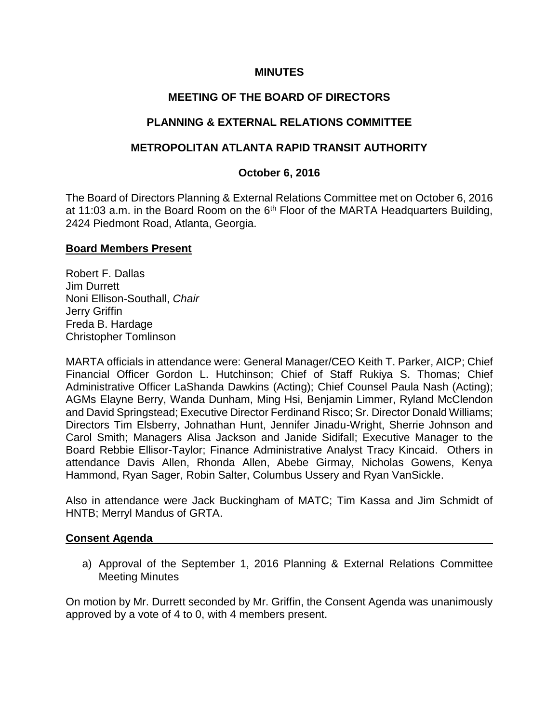## **MINUTES**

## **MEETING OF THE BOARD OF DIRECTORS**

## **PLANNING & EXTERNAL RELATIONS COMMITTEE**

## **METROPOLITAN ATLANTA RAPID TRANSIT AUTHORITY**

#### **October 6, 2016**

The Board of Directors Planning & External Relations Committee met on October 6, 2016 at 11:03 a.m. in the Board Room on the  $6<sup>th</sup>$  Floor of the MARTA Headquarters Building, 2424 Piedmont Road, Atlanta, Georgia.

#### **Board Members Present**

Robert F. Dallas Jim Durrett Noni Ellison-Southall, *Chair*  Jerry Griffin Freda B. Hardage Christopher Tomlinson

MARTA officials in attendance were: General Manager/CEO Keith T. Parker, AICP; Chief Financial Officer Gordon L. Hutchinson; Chief of Staff Rukiya S. Thomas; Chief Administrative Officer LaShanda Dawkins (Acting); Chief Counsel Paula Nash (Acting); AGMs Elayne Berry, Wanda Dunham, Ming Hsi, Benjamin Limmer, Ryland McClendon and David Springstead; Executive Director Ferdinand Risco; Sr. Director Donald Williams; Directors Tim Elsberry, Johnathan Hunt, Jennifer Jinadu-Wright, Sherrie Johnson and Carol Smith; Managers Alisa Jackson and Janide Sidifall; Executive Manager to the Board Rebbie Ellisor-Taylor; Finance Administrative Analyst Tracy Kincaid. Others in attendance Davis Allen, Rhonda Allen, Abebe Girmay, Nicholas Gowens, Kenya Hammond, Ryan Sager, Robin Salter, Columbus Ussery and Ryan VanSickle.

Also in attendance were Jack Buckingham of MATC; Tim Kassa and Jim Schmidt of HNTB; Merryl Mandus of GRTA.

#### **Consent Agenda**

a) Approval of the September 1, 2016 Planning & External Relations Committee Meeting Minutes

On motion by Mr. Durrett seconded by Mr. Griffin, the Consent Agenda was unanimously approved by a vote of 4 to 0, with 4 members present.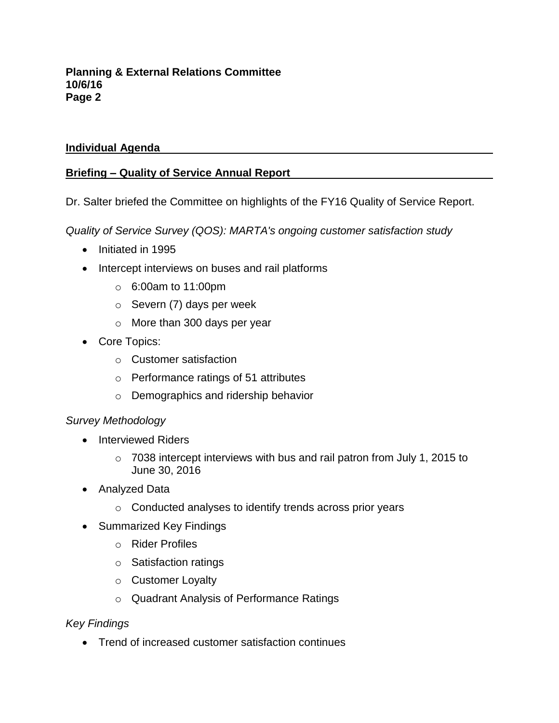# **Individual Agenda**

# **Briefing – Quality of Service Annual Report**

Dr. Salter briefed the Committee on highlights of the FY16 Quality of Service Report.

*Quality of Service Survey (QOS): MARTA's ongoing customer satisfaction study*

- Initiated in 1995
- Intercept interviews on buses and rail platforms
	- o 6:00am to 11:00pm
	- $\circ$  Severn (7) days per week
	- o More than 300 days per year
- Core Topics:
	- o Customer satisfaction
	- o Performance ratings of 51 attributes
	- o Demographics and ridership behavior

## *Survey Methodology*

- Interviewed Riders
	- $\circ$  7038 intercept interviews with bus and rail patron from July 1, 2015 to June 30, 2016
- Analyzed Data
	- o Conducted analyses to identify trends across prior years
- Summarized Key Findings
	- o Rider Profiles
	- o Satisfaction ratings
	- o Customer Loyalty
	- o Quadrant Analysis of Performance Ratings

# *Key Findings*

• Trend of increased customer satisfaction continues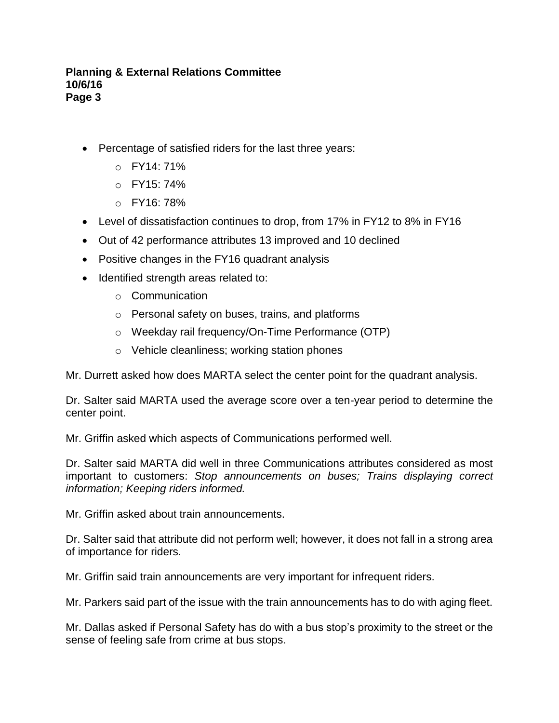- Percentage of satisfied riders for the last three years:
	- o FY14: 71%
	- $O$  FY15: 74%
	- $O$  FY16: 78%
- Level of dissatisfaction continues to drop, from 17% in FY12 to 8% in FY16
- Out of 42 performance attributes 13 improved and 10 declined
- Positive changes in the FY16 quadrant analysis
- Identified strength areas related to:
	- o Communication
	- o Personal safety on buses, trains, and platforms
	- o Weekday rail frequency/On-Time Performance (OTP)
	- o Vehicle cleanliness; working station phones

Mr. Durrett asked how does MARTA select the center point for the quadrant analysis.

Dr. Salter said MARTA used the average score over a ten-year period to determine the center point.

Mr. Griffin asked which aspects of Communications performed well.

Dr. Salter said MARTA did well in three Communications attributes considered as most important to customers: *Stop announcements on buses; Trains displaying correct information; Keeping riders informed.*

Mr. Griffin asked about train announcements.

Dr. Salter said that attribute did not perform well; however, it does not fall in a strong area of importance for riders.

Mr. Griffin said train announcements are very important for infrequent riders.

Mr. Parkers said part of the issue with the train announcements has to do with aging fleet.

Mr. Dallas asked if Personal Safety has do with a bus stop's proximity to the street or the sense of feeling safe from crime at bus stops.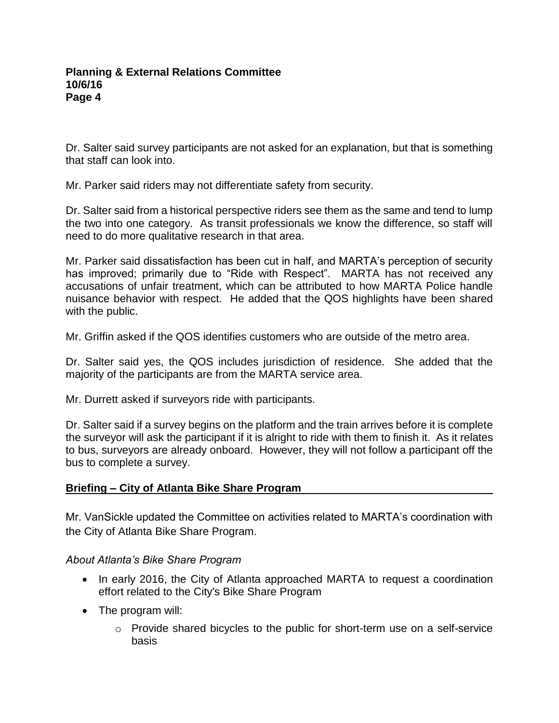Dr. Salter said survey participants are not asked for an explanation, but that is something that staff can look into.

Mr. Parker said riders may not differentiate safety from security.

Dr. Salter said from a historical perspective riders see them as the same and tend to lump the two into one category. As transit professionals we know the difference, so staff will need to do more qualitative research in that area.

Mr. Parker said dissatisfaction has been cut in half, and MARTA's perception of security has improved; primarily due to "Ride with Respect". MARTA has not received any accusations of unfair treatment, which can be attributed to how MARTA Police handle nuisance behavior with respect. He added that the QOS highlights have been shared with the public.

Mr. Griffin asked if the QOS identifies customers who are outside of the metro area.

Dr. Salter said yes, the QOS includes jurisdiction of residence. She added that the majority of the participants are from the MARTA service area.

Mr. Durrett asked if surveyors ride with participants.

Dr. Salter said if a survey begins on the platform and the train arrives before it is complete the surveyor will ask the participant if it is alright to ride with them to finish it. As it relates to bus, surveyors are already onboard. However, they will not follow a participant off the bus to complete a survey.

## **Briefing – City of Atlanta Bike Share Program**

Mr. VanSickle updated the Committee on activities related to MARTA's coordination with the City of Atlanta Bike Share Program.

*About Atlanta's Bike Share Program*

- In early 2016, the City of Atlanta approached MARTA to request a coordination effort related to the City's Bike Share Program
- The program will:
	- $\circ$  Provide shared bicycles to the public for short-term use on a self-service basis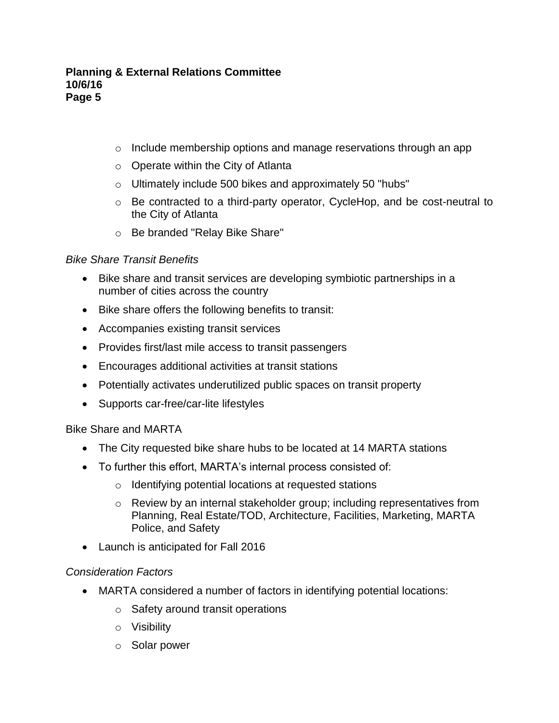- o Include membership options and manage reservations through an app
- o Operate within the City of Atlanta
- o Ultimately include 500 bikes and approximately 50 "hubs"
- o Be contracted to a third-party operator, CycleHop, and be cost-neutral to the City of Atlanta
- o Be branded "Relay Bike Share"

# *Bike Share Transit Benefits*

- Bike share and transit services are developing symbiotic partnerships in a number of cities across the country
- Bike share offers the following benefits to transit:
- Accompanies existing transit services
- Provides first/last mile access to transit passengers
- Encourages additional activities at transit stations
- Potentially activates underutilized public spaces on transit property
- Supports car-free/car-lite lifestyles

# Bike Share and MARTA

- The City requested bike share hubs to be located at 14 MARTA stations
- To further this effort, MARTA's internal process consisted of:
	- o Identifying potential locations at requested stations
	- o Review by an internal stakeholder group; including representatives from Planning, Real Estate/TOD, Architecture, Facilities, Marketing, MARTA Police, and Safety
- Launch is anticipated for Fall 2016

# *Consideration Factors*

- MARTA considered a number of factors in identifying potential locations:
	- o Safety around transit operations
	- o Visibility
	- o Solar power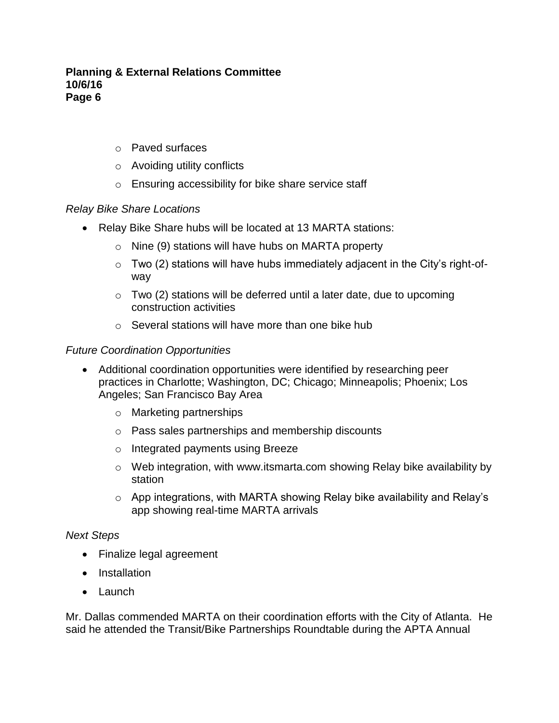- o Paved surfaces
- o Avoiding utility conflicts
- o Ensuring accessibility for bike share service staff

## *Relay Bike Share Locations*

- Relay Bike Share hubs will be located at 13 MARTA stations:
	- o Nine (9) stations will have hubs on MARTA property
	- $\circ$  Two (2) stations will have hubs immediately adjacent in the City's right-ofway
	- $\circ$  Two (2) stations will be deferred until a later date, due to upcoming construction activities
	- o Several stations will have more than one bike hub

## *Future Coordination Opportunities*

- Additional coordination opportunities were identified by researching peer practices in Charlotte; Washington, DC; Chicago; Minneapolis; Phoenix; Los Angeles; San Francisco Bay Area
	- o Marketing partnerships
	- o Pass sales partnerships and membership discounts
	- o Integrated payments using Breeze
	- o Web integration, with www.itsmarta.com showing Relay bike availability by station
	- o App integrations, with MARTA showing Relay bike availability and Relay's app showing real-time MARTA arrivals

## *Next Steps*

- Finalize legal agreement
- Installation
- Launch

Mr. Dallas commended MARTA on their coordination efforts with the City of Atlanta. He said he attended the Transit/Bike Partnerships Roundtable during the APTA Annual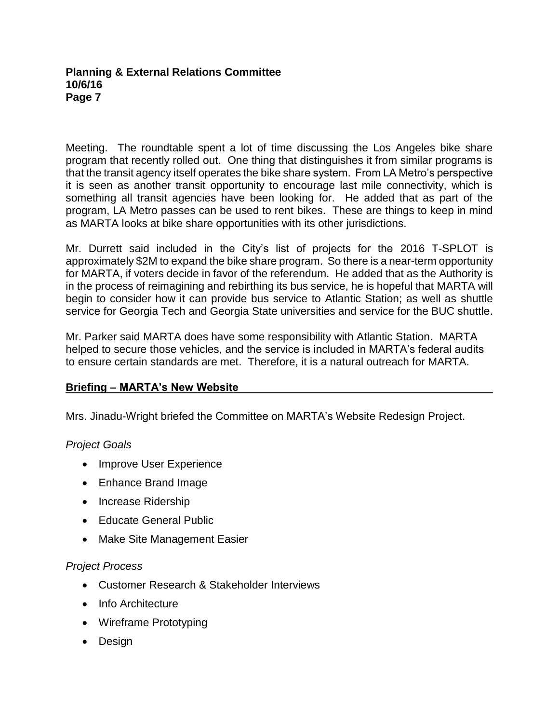Meeting. The roundtable spent a lot of time discussing the Los Angeles bike share program that recently rolled out. One thing that distinguishes it from similar programs is that the transit agency itself operates the bike share system. From LA Metro's perspective it is seen as another transit opportunity to encourage last mile connectivity, which is something all transit agencies have been looking for. He added that as part of the program, LA Metro passes can be used to rent bikes. These are things to keep in mind as MARTA looks at bike share opportunities with its other jurisdictions.

Mr. Durrett said included in the City's list of projects for the 2016 T-SPLOT is approximately \$2M to expand the bike share program. So there is a near-term opportunity for MARTA, if voters decide in favor of the referendum. He added that as the Authority is in the process of reimagining and rebirthing its bus service, he is hopeful that MARTA will begin to consider how it can provide bus service to Atlantic Station; as well as shuttle service for Georgia Tech and Georgia State universities and service for the BUC shuttle.

Mr. Parker said MARTA does have some responsibility with Atlantic Station. MARTA helped to secure those vehicles, and the service is included in MARTA's federal audits to ensure certain standards are met. Therefore, it is a natural outreach for MARTA.

## **Briefing – MARTA's New Website**

Mrs. Jinadu-Wright briefed the Committee on MARTA's Website Redesign Project.

## *Project Goals*

- Improve User Experience
- Enhance Brand Image
- Increase Ridership
- **•** Educate General Public
- Make Site Management Easier

## *Project Process*

- Customer Research & Stakeholder Interviews
- Info Architecture
- Wireframe Prototyping
- Design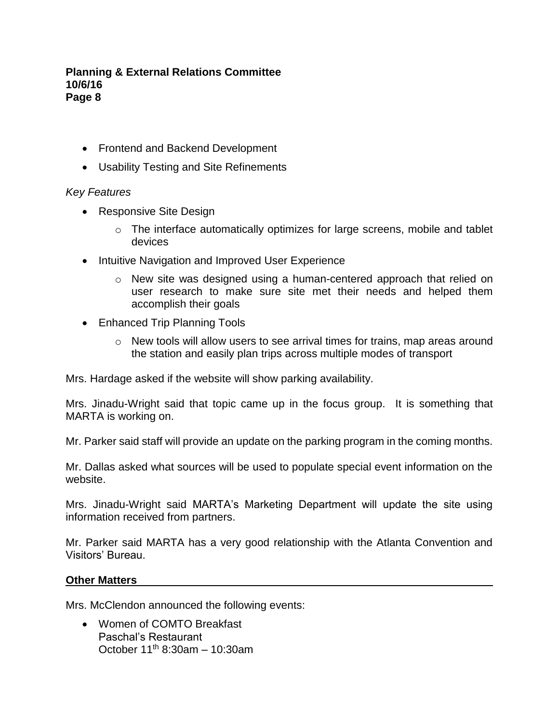- Frontend and Backend Development
- Usability Testing and Site Refinements

## *Key Features*

- Responsive Site Design
	- o The interface automatically optimizes for large screens, mobile and tablet devices
- Intuitive Navigation and Improved User Experience
	- $\circ$  New site was designed using a human-centered approach that relied on user research to make sure site met their needs and helped them accomplish their goals
- Enhanced Trip Planning Tools
	- o New tools will allow users to see arrival times for trains, map areas around the station and easily plan trips across multiple modes of transport

Mrs. Hardage asked if the website will show parking availability.

Mrs. Jinadu-Wright said that topic came up in the focus group. It is something that MARTA is working on.

Mr. Parker said staff will provide an update on the parking program in the coming months.

Mr. Dallas asked what sources will be used to populate special event information on the website.

Mrs. Jinadu-Wright said MARTA's Marketing Department will update the site using information received from partners.

Mr. Parker said MARTA has a very good relationship with the Atlanta Convention and Visitors' Bureau.

#### **Other Matters**

Mrs. McClendon announced the following events:

• Women of COMTO Breakfast Paschal's Restaurant October  $11^{th}$  8:30am – 10:30am